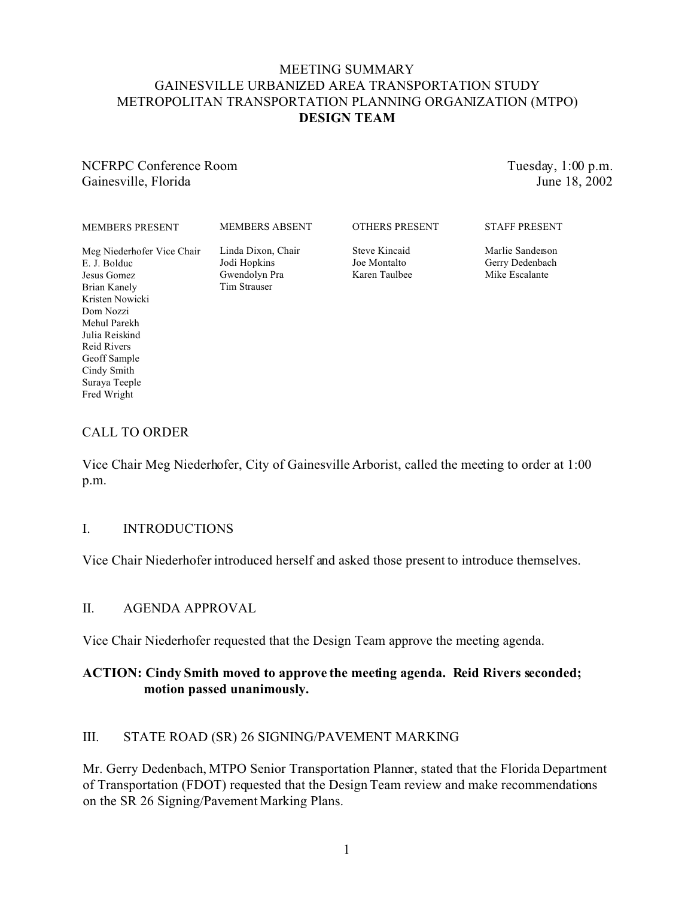# MEETING SUMMARY GAINESVILLE URBANIZED AREA TRANSPORTATION STUDY METROPOLITAN TRANSPORTATION PLANNING ORGANIZATION (MTPO) **DESIGN TEAM**

NCFRPC Conference Room Gainesville, Florida

Tuesday, 1:00 p.m. June 18, 2002

| <b>MEMBERS PRESENT</b>                                                    | <b>MEMBERS ABSENT</b>                                               | <b>OTHERS PRESENT</b>                          | <b>STAFF PRESENT</b>                                  |
|---------------------------------------------------------------------------|---------------------------------------------------------------------|------------------------------------------------|-------------------------------------------------------|
| Meg Niederhofer Vice Chair<br>E. J. Bolduc<br>Jesus Gomez<br>Brian Kanely | Linda Dixon, Chair<br>Jodi Hopkins<br>Gwendolyn Pra<br>Tim Strauser | Steve Kincaid<br>Joe Montalto<br>Karen Taulbee | Marlie Sanderson<br>Gerry Dedenbach<br>Mike Escalante |

### CALL TO ORDER

Kristen Nowicki Dom Nozzi Mehul Parekh Julia Reiskind Reid Rivers Geoff Sample Cindy Smith Suraya Teeple Fred Wright

Vice Chair Meg Niederhofer, City of Gainesville Arborist, called the meeting to order at 1:00 p.m.

#### I. INTRODUCTIONS

Vice Chair Niederhofer introduced herself and asked those present to introduce themselves.

#### II. AGENDA APPROVAL

Vice Chair Niederhofer requested that the Design Team approve the meeting agenda.

## **ACTION: Cindy Smith moved to approve the meeting agenda. Reid Rivers seconded; motion passed unanimously.**

### III. STATE ROAD (SR) 26 SIGNING/PAVEMENT MARKING

Mr. Gerry Dedenbach, MTPO Senior Transportation Planner, stated that the Florida Department of Transportation (FDOT) requested that the Design Team review and make recommendations on the SR 26 Signing/Pavement Marking Plans.